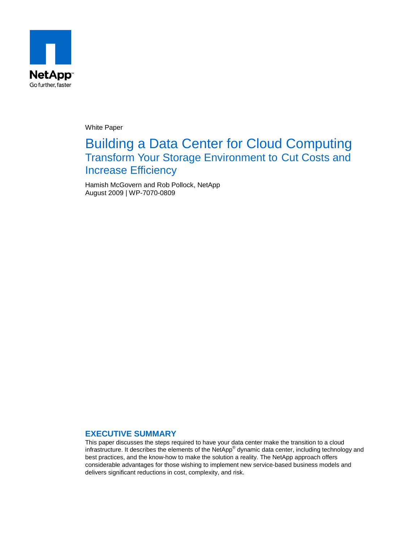

White Paper

# Building a Data Center for Cloud Computing Transform Your Storage Environment to Cut Costs and Increase Efficiency

Hamish McGovern and Rob Pollock, NetApp August 2009 | WP-7070-0809

### **EXECUTIVE SUMMARY**

This paper discusses the steps required to have your data center make the transition to a cloud infrastructure. It describes the elements of the NetApp® dynamic data center, including technology and best practices, and the know-how to make the solution a reality. The NetApp approach offers considerable advantages for those wishing to implement new service-based business models and delivers significant reductions in cost, complexity, and risk.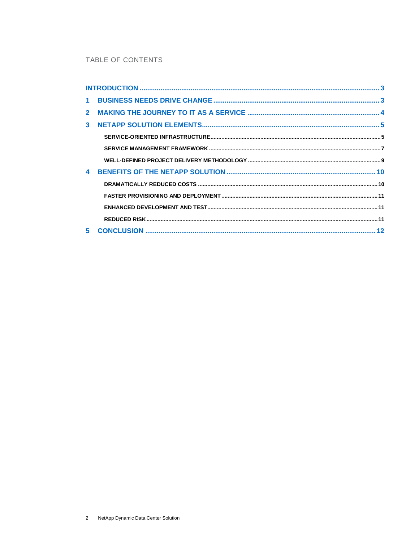### TABLE OF CONTENTS

| $\blacktriangle$ |  |
|------------------|--|
|                  |  |
|                  |  |
|                  |  |
|                  |  |
|                  |  |
|                  |  |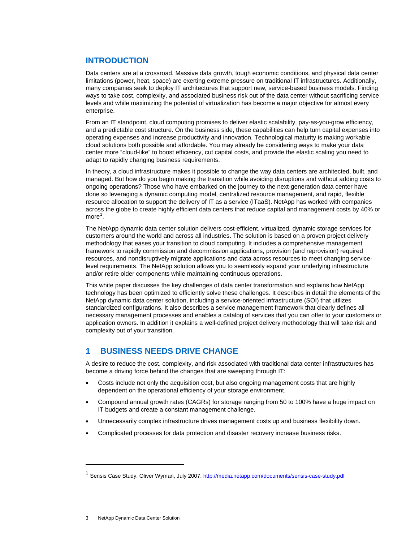## **INTRODUCTION**

Data centers are at a crossroad. Massive data growth, tough economic conditions, and physical data center limitations (power, heat, space) are exerting extreme pressure on traditional IT infrastructures. Additionally, many companies seek to deploy IT architectures that support new, service-based business models. Finding ways to take cost, complexity, and associated business risk out of the data center without sacrificing service levels and while maximizing the potential of virtualization has become a major objective for almost every enterprise.

From an IT standpoint, cloud computing promises to deliver elastic scalability, pay-as-you-grow efficiency, and a predictable cost structure. On the business side, these capabilities can help turn capital expenses into operating expenses and increase productivity and innovation. Technological maturity is making workable cloud solutions both possible and affordable. You may already be considering ways to make your data center more "cloud-like" to boost efficiency, cut capital costs, and provide the elastic scaling you need to adapt to rapidly changing business requirements.

In theory, a cloud infrastructure makes it possible to change the way data centers are architected, built, and managed. But how do you begin making the transition while avoiding disruptions and without adding costs to ongoing operations? Those who have embarked on the journey to the next-generation data center have done so leveraging a dynamic computing model, centralized resource management, and rapid, flexible resource allocation to support the delivery of IT as a service (ITaaS). NetApp has worked with companies across the globe to create highly efficient data centers that reduce capital and management costs by 40% or  $more<sup>1</sup>$  $more<sup>1</sup>$  $more<sup>1</sup>$ .

The NetApp dynamic data center solution delivers cost-efficient, virtualized, dynamic storage services for customers around the world and across all industries. The solution is based on a proven project delivery methodology that eases your transition to cloud computing. It includes a comprehensive management framework to rapidly commission and decommission applications, provision (and reprovision) required resources, and nondisruptively migrate applications and data across resources to meet changing servicelevel requirements. The NetApp solution allows you to seamlessly expand your underlying infrastructure and/or retire older components while maintaining continuous operations.

This white paper discusses the key challenges of data center transformation and explains how NetApp technology has been optimized to efficiently solve these challenges. It describes in detail the elements of the NetApp dynamic data center solution, including a service-oriented infrastructure (SOI) that utilizes standardized configurations. It also describes a service management framework that clearly defines all necessary management processes and enables a catalog of services that you can offer to your customers or application owners. In addition it explains a well-defined project delivery methodology that will take risk and complexity out of your transition.

# **1 BUSINESS NEEDS DRIVE CHANGE**

A desire to reduce the cost, complexity, and risk associated with traditional data center infrastructures has become a driving force behind the changes that are sweeping through IT:

- Costs include not only the acquisition cost, but also ongoing management costs that are highly dependent on the operational efficiency of your storage environment.
- Compound annual growth rates (CAGRs) for storage ranging from 50 to 100% have a huge impact on IT budgets and create a constant management challenge.
- Unnecessarily complex infrastructure drives management costs up and business flexibility down.
- Complicated processes for data protection and disaster recovery increase business risks.

-

<span id="page-2-0"></span><sup>&</sup>lt;sup>1</sup> Sensis Case Study, Oliver Wyman, July 2007.<http://media.netapp.com/documents/sensis-case-study.pdf>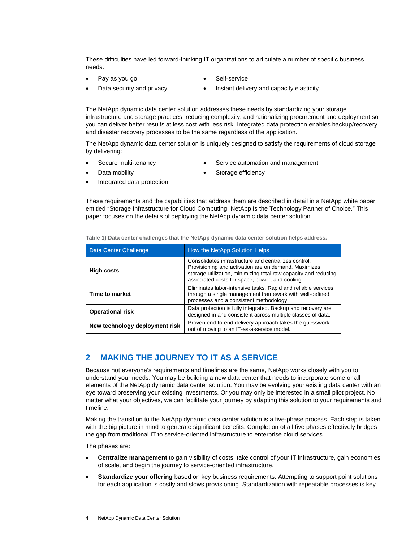These difficulties have led forward-thinking IT organizations to articulate a number of specific business needs:

- Pay as you go **b •** Self-service
	-
- 
- Data security and privacy **•** Instant delivery and capacity elasticity

The NetApp dynamic data center solution addresses these needs by standardizing your storage infrastructure and storage practices, reducing complexity, and rationalizing procurement and deployment so you can deliver better results at less cost with less risk. Integrated data protection enables backup/recovery and disaster recovery processes to be the same regardless of the application.

The NetApp dynamic data center solution is uniquely designed to satisfy the requirements of cloud storage by delivering:

- 
- Secure multi-tenancy Service automation and management
- 
- Data mobility **•** Storage efficiency
- Integrated data protection
- 

These requirements and the capabilities that address them are described in detail in a NetApp white paper entitled "Storage Infrastructure for Cloud Computing: NetApp Is the Technology Partner of Choice." This paper focuses on the details of deploying the NetApp dynamic data center solution.

| Data Center Challenge          | How the NetApp Solution Helps                                                                                                                                                                                                      |
|--------------------------------|------------------------------------------------------------------------------------------------------------------------------------------------------------------------------------------------------------------------------------|
| <b>High costs</b>              | Consolidates infrastructure and centralizes control.<br>Provisioning and activation are on demand. Maximizes<br>storage utilization, minimizing total raw capacity and reducing<br>associated costs for space, power, and cooling. |
| Time to market                 | Eliminates labor-intensive tasks. Rapid and reliable services<br>through a single management framework with well-defined<br>processes and a consistent methodology.                                                                |
| <b>Operational risk</b>        | Data protection is fully integrated. Backup and recovery are<br>designed in and consistent across multiple classes of data.                                                                                                        |
| New technology deployment risk | Proven end-to-end delivery approach takes the guesswork<br>out of moving to an IT-as-a-service model.                                                                                                                              |

**Table 1) Data center challenges that the NetApp dynamic data center solution helps address.**

# **2 MAKING THE JOURNEY TO IT AS A SERVICE**

Because not everyone's requirements and timelines are the same, NetApp works closely with you to understand your needs. You may be building a new data center that needs to incorporate some or all elements of the NetApp dynamic data center solution. You may be evolving your existing data center with an eye toward preserving your existing investments. Or you may only be interested in a small pilot project. No matter what your objectives, we can facilitate your journey by adapting this solution to your requirements and timeline.

Making the transition to the NetApp dynamic data center solution is a five-phase process. Each step is taken with the big picture in mind to generate significant benefits. Completion of all five phases effectively bridges the gap from traditional IT to service-oriented infrastructure to enterprise cloud services.

The phases are:

- **Centralize management** to gain visibility of costs, take control of your IT infrastructure, gain economies of scale, and begin the journey to service-oriented infrastructure.
- **Standardize your offering** based on key business requirements. Attempting to support point solutions for each application is costly and slows provisioning. Standardization with repeatable processes is key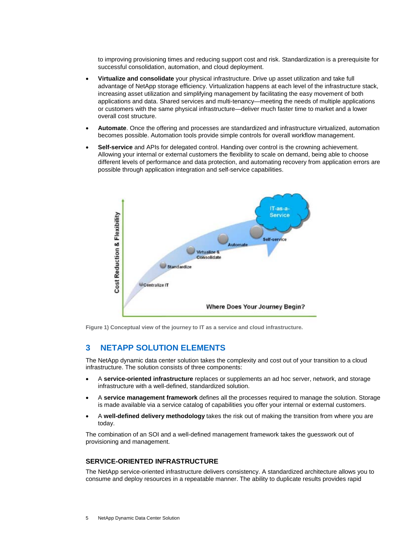to improving provisioning times and reducing support cost and risk. Standardization is a prerequisite for successful consolidation, automation, and cloud deployment.

- **Virtualize and consolidate** your physical infrastructure. Drive up asset utilization and take full advantage of NetApp storage efficiency. Virtualization happens at each level of the infrastructure stack, increasing asset utilization and simplifying management by facilitating the easy movement of both applications and data. Shared services and multi-tenancy—meeting the needs of multiple applications or customers with the same physical infrastructure—deliver much faster time to market and a lower overall cost structure.
- **Automate**. Once the offering and processes are standardized and infrastructure virtualized, automation becomes possible. Automation tools provide simple controls for overall workflow management.
- **Self-service** and APIs for delegated control. Handing over control is the crowning achievement. Allowing your internal or external customers the flexibility to scale on demand, being able to choose different levels of performance and data protection, and automating recovery from application errors are possible through application integration and self-service capabilities.



**Figure 1) Conceptual view of the journey to IT as a service and cloud infrastructure.**

## **3 NETAPP SOLUTION ELEMENTS**

The NetApp dynamic data center solution takes the complexity and cost out of your transition to a cloud infrastructure. The solution consists of three components:

- A **service-oriented infrastructure** replaces or supplements an ad hoc server, network, and storage infrastructure with a well-defined, standardized solution.
- A **service management framework** defines all the processes required to manage the solution. Storage is made available via a service catalog of capabilities you offer your internal or external customers.
- A **well-defined delivery methodology** takes the risk out of making the transition from where you are today.

The combination of an SOI and a well-defined management framework takes the guesswork out of provisioning and management.

#### **SERVICE-ORIENTED INFRASTRUCTURE**

The NetApp service-oriented infrastructure delivers consistency. A standardized architecture allows you to consume and deploy resources in a repeatable manner. The ability to duplicate results provides rapid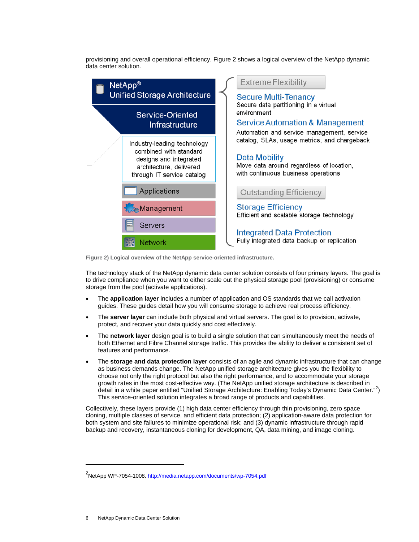provisioning and overall operational efficiency. Figure 2 shows a logical overview of the NetApp dynamic data center solution.



**Figure 2) Logical overview of the NetApp service-oriented infrastructure.**

The technology stack of the NetApp dynamic data center solution consists of four primary layers. The goal is to drive compliance when you want to either scale out the physical storage pool (provisioning) or consume storage from the pool (activate applications).

- The **application layer** includes a number of application and OS standards that we call activation guides. These guides detail how you will consume storage to achieve real process efficiency.
- The **server layer** can include both physical and virtual servers. The goal is to provision, activate, protect, and recover your data quickly and cost effectively.
- The **network layer** design goal is to build a single solution that can simultaneously meet the needs of both Ethernet and Fibre Channel storage traffic. This provides the ability to deliver a consistent set of features and performance.
- The **storage and data protection layer** consists of an agile and dynamic infrastructure that can change as business demands change. The NetApp unified storage architecture gives you the flexibility to choose not only the right protocol but also the right performance, and to accommodate your storage growth rates in the most cost-effective way. (The NetApp unified storage architecture is described in detail in a white paper entitled "Unified Storage Architecture: Enabling Today's Dynamic Data Center."<sup>[2](#page-5-0)</sup>) This service-oriented solution integrates a broad range of products and capabilities.

Collectively, these layers provide (1) high data center efficiency through thin provisioning, zero space cloning, multiple classes of service, and efficient data protection; (2) application-aware data protection for both system and site failures to minimize operational risk; and (3) dynamic infrastructure through rapid backup and recovery, instantaneous cloning for development, QA, data mining, and image cloning.

-

<span id="page-5-0"></span><sup>&</sup>lt;sup>2</sup>NetApp WP-7054-1008. <u>http://media.netapp.com/documents/wp-7054.pdf</u>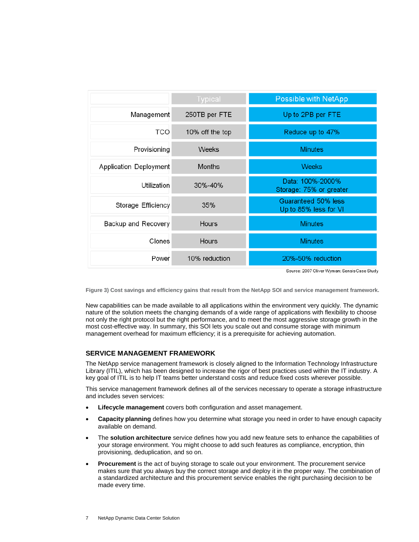|                        | <b>Typical</b>  | <b>Possible with NetApp</b>                  |
|------------------------|-----------------|----------------------------------------------|
| Management             | 250TB per FTE   | Up to 2PB per FTE                            |
| <b>TCO</b>             | 10% off the top | Reduce up to 47%                             |
| Provisioning           | <b>Weeks</b>    | <b>Minutes</b>                               |
| Application Deployment | <b>Months</b>   | <b>Weeks</b>                                 |
| Utilization            | 30%-40%         | Data: 100%-2000%<br>Storage: 75% or greater  |
| Storage Efficiency     | 35%             | Guaranteed 50% less<br>Up to 85% less for VI |
| Backup and Recovery    | Hours           | <b>Minutes</b>                               |
| Clones                 | Hours           | <b>Minutes</b>                               |
| Power                  | 10% reduction   | 20%-50% reduction                            |

Source: 2007 Oliver Wyman: Sensis Case Study

**Figure 3) Cost savings and efficiency gains that result from the NetApp SOI and service management framework.**

New capabilities can be made available to all applications within the environment very quickly. The dynamic nature of the solution meets the changing demands of a wide range of applications with flexibility to choose not only the right protocol but the right performance, and to meet the most aggressive storage growth in the most cost-effective way. In summary, this SOI lets you scale out and consume storage with minimum management overhead for maximum efficiency; it is a prerequisite for achieving automation.

#### **SERVICE MANAGEMENT FRAMEWORK**

The NetApp service management framework is closely aligned to the Information Technology Infrastructure Library (ITIL), which has been designed to increase the rigor of best practices used within the IT industry. A key goal of ITIL is to help IT teams better understand costs and reduce fixed costs wherever possible.

This service management framework defines all of the services necessary to operate a storage infrastructure and includes seven services:

- **Lifecycle management** covers both configuration and asset management.
- **Capacity planning** defines how you determine what storage you need in order to have enough capacity available on demand.
- The **solution architecture** service defines how you add new feature sets to enhance the capabilities of your storage environment. You might choose to add such features as compliance, encryption, thin provisioning, deduplication, and so on.
- **Procurement** is the act of buying storage to scale out your environment. The procurement service makes sure that you always buy the correct storage and deploy it in the proper way. The combination of a standardized architecture and this procurement service enables the right purchasing decision to be made every time.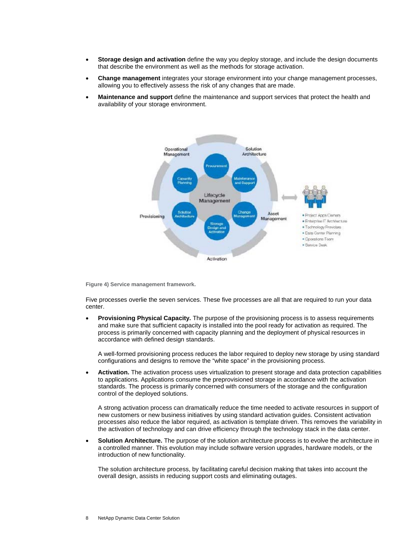- **Storage design and activation** define the way you deploy storage, and include the design documents that describe the environment as well as the methods for storage activation.
- **Change management** integrates your storage environment into your change management processes, allowing you to effectively assess the risk of any changes that are made.
- **Maintenance and support** define the maintenance and support services that protect the health and availability of your storage environment.



**Figure 4) Service management framework.**

Five processes overlie the seven services. These five processes are all that are required to run your data center.

**Provisioning Physical Capacity.** The purpose of the provisioning process is to assess requirements and make sure that sufficient capacity is installed into the pool ready for activation as required. The process is primarily concerned with capacity planning and the deployment of physical resources in accordance with defined design standards.

A well-formed provisioning process reduces the labor required to deploy new storage by using standard configurations and designs to remove the "white space" in the provisioning process.

• **Activation.** The activation process uses virtualization to present storage and data protection capabilities to applications. Applications consume the preprovisioned storage in accordance with the activation standards. The process is primarily concerned with consumers of the storage and the configuration control of the deployed solutions.

A strong activation process can dramatically reduce the time needed to activate resources in support of new customers or new business initiatives by using standard activation guides. Consistent activation processes also reduce the labor required, as activation is template driven. This removes the variability in the activation of technology and can drive efficiency through the technology stack in the data center.

• **Solution Architecture.** The purpose of the solution architecture process is to evolve the architecture in a controlled manner. This evolution may include software version upgrades, hardware models, or the introduction of new functionality.

The solution architecture process, by facilitating careful decision making that takes into account the overall design, assists in reducing support costs and eliminating outages.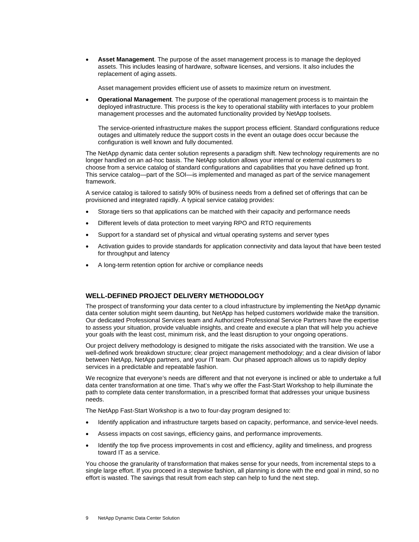• **Asset Management**. The purpose of the asset management process is to manage the deployed assets. This includes leasing of hardware, software licenses, and versions. It also includes the replacement of aging assets.

Asset management provides efficient use of assets to maximize return on investment.

• **Operational Management**. The purpose of the operational management process is to maintain the deployed infrastructure. This process is the key to operational stability with interfaces to your problem management processes and the automated functionality provided by NetApp toolsets.

The service-oriented infrastructure makes the support process efficient. Standard configurations reduce outages and ultimately reduce the support costs in the event an outage does occur because the configuration is well known and fully documented.

The NetApp dynamic data center solution represents a paradigm shift. New technology requirements are no longer handled on an ad-hoc basis. The NetApp solution allows your internal or external customers to choose from a service catalog of standard configurations and capabilities that you have defined up front. This service catalog—part of the SOI—is implemented and managed as part of the service management framework.

A service catalog is tailored to satisfy 90% of business needs from a defined set of offerings that can be provisioned and integrated rapidly. A typical service catalog provides:

- Storage tiers so that applications can be matched with their capacity and performance needs
- Different levels of data protection to meet varying RPO and RTO requirements
- Support for a standard set of physical and virtual operating systems and server types
- Activation guides to provide standards for application connectivity and data layout that have been tested for throughput and latency
- A long-term retention option for archive or compliance needs

#### **WELL-DEFINED PROJECT DELIVERY METHODOLOGY**

The prospect of transforming your data center to a cloud infrastructure by implementing the NetApp dynamic data center solution might seem daunting, but NetApp has helped customers worldwide make the transition. Our dedicated Professional Services team and Authorized Professional Service Partners have the expertise to assess your situation, provide valuable insights, and create and execute a plan that will help you achieve your goals with the least cost, minimum risk, and the least disruption to your ongoing operations.

Our project delivery methodology is designed to mitigate the risks associated with the transition. We use a well-defined work breakdown structure; clear project management methodology; and a clear division of labor between NetApp, NetApp partners, and your IT team. Our phased approach allows us to rapidly deploy services in a predictable and repeatable fashion.

We recognize that everyone's needs are different and that not everyone is inclined or able to undertake a full data center transformation at one time. That's why we offer the Fast-Start Workshop to help illuminate the path to complete data center transformation, in a prescribed format that addresses your unique business needs.

The NetApp Fast-Start Workshop is a two to four-day program designed to:

- Identify application and infrastructure targets based on capacity, performance, and service-level needs.
- Assess impacts on cost savings, efficiency gains, and performance improvements.
- Identify the top five process improvements in cost and efficiency, agility and timeliness, and progress toward IT as a service.

You choose the granularity of transformation that makes sense for your needs, from incremental steps to a single large effort. If you proceed in a stepwise fashion, all planning is done with the end goal in mind, so no effort is wasted. The savings that result from each step can help to fund the next step.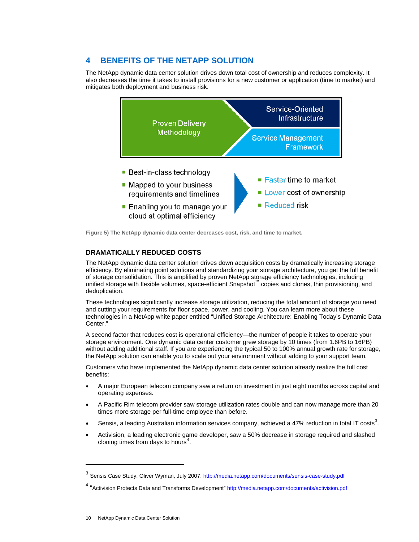# **4 BENEFITS OF THE NETAPP SOLUTION**

The NetApp dynamic data center solution drives down total cost of ownership and reduces complexity. It also decreases the time it takes to install provisions for a new customer or application (time to market) and mitigates both deployment and business risk.



**Figure 5) The NetApp dynamic data center decreases cost, risk, and time to market.**

### **DRAMATICALLY REDUCED COSTS**

The NetApp dynamic data center solution drives down acquisition costs by dramatically increasing storage efficiency. By eliminating point solutions and standardizing your storage architecture, you get the full benefit of storage consolidation. This is amplified by proven NetApp storage efficiency technologies, including unified storage with flexible volumes, space-efficient Snapshot™ copies and clones, thin provisioning, and deduplication.

These technologies significantly increase storage utilization, reducing the total amount of storage you need and cutting your requirements for floor space, power, and cooling. You can learn more about these technologies in a NetApp white paper entitled "Unified Storage Architecture: Enabling Today's Dynamic Data Center."

A second factor that reduces cost is operational efficiency—the number of people it takes to operate your storage environment. One dynamic data center customer grew storage by 10 times (from 1.6PB to 16PB) without adding additional staff. If you are experiencing the typical 50 to 100% annual growth rate for storage, the NetApp solution can enable you to scale out your environment without adding to your support team.

Customers who have implemented the NetApp dynamic data center solution already realize the full cost benefits:

- A major European telecom company saw a return on investment in just eight months across capital and operating expenses.
- A Pacific Rim telecom provider saw storage utilization rates double and can now manage more than 20 times more storage per full-time employee than before.
- Sensis, a leading Australian information services company, achieved a 47% reduction in total IT costs<sup>[3](#page-9-0)</sup>.
- Activision, a leading electronic game developer, saw a 50% decrease in storage required and slashed cloning times from days to hours [4](#page-10-0) .

-

<span id="page-9-0"></span><sup>&</sup>lt;sup>3</sup> Sensis Case Study, Oliver Wyman, July 2007.<http://media.netapp.com/documents/sensis-case-study.pdf>

<sup>&</sup>lt;sup>4</sup> "Activision Protects Data and Transforms Development"<http://media.netapp.com/documents/activision.pdf>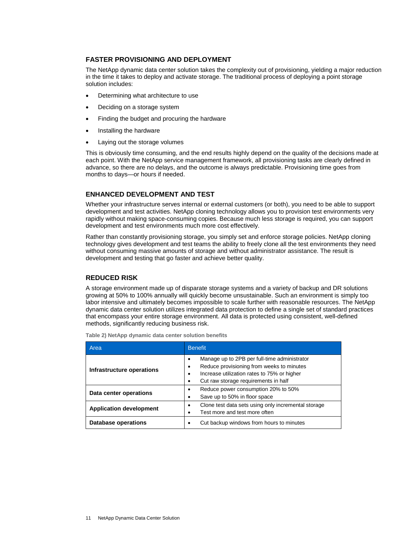#### **FASTER PROVISIONING AND DEPLOYMENT**

The NetApp dynamic data center solution takes the complexity out of provisioning, yielding a major reduction in the time it takes to deploy and activate storage. The traditional process of deploying a point storage solution includes:

- Determining what architecture to use
- Deciding on a storage system
- Finding the budget and procuring the hardware
- Installing the hardware
- Laying out the storage volumes

This is obviously time consuming, and the end results highly depend on the quality of the decisions made at each point. With the NetApp service management framework, all provisioning tasks are clearly defined in advance, so there are no delays, and the outcome is always predictable. Provisioning time goes from months to days—or hours if needed.

#### **ENHANCED DEVELOPMENT AND TEST**

Whether your infrastructure serves internal or external customers (or both), you need to be able to support development and test activities. NetApp cloning technology allows you to provision test environments very rapidly without making space-consuming copies. Because much less storage is required, you can support development and test environments much more cost effectively.

Rather than constantly provisioning storage, you simply set and enforce storage policies. NetApp cloning technology gives development and test teams the ability to freely clone all the test environments they need without consuming massive amounts of storage and without administrator assistance. The result is development and testing that go faster and achieve better quality.

#### **REDUCED RISK**

A storage environment made up of disparate storage systems and a variety of backup and DR solutions growing at 50% to 100% annually will quickly become unsustainable. Such an environment is simply too labor intensive and ultimately becomes impossible to scale further with reasonable resources. The NetApp dynamic data center solution utilizes integrated data protection to define a single set of standard practices that encompass your entire storage environment. All data is protected using consistent, well-defined methods, significantly reducing business risk.

<span id="page-10-0"></span>

| Area                           | <b>Benefit</b>                                                                                                                                                                                               |
|--------------------------------|--------------------------------------------------------------------------------------------------------------------------------------------------------------------------------------------------------------|
| Infrastructure operations      | Manage up to 2PB per full-time administrator<br>٠<br>Reduce provisioning from weeks to minutes<br>$\bullet$<br>Increase utilization rates to 75% or higher<br>٠<br>Cut raw storage requirements in half<br>٠ |
| Data center operations         | Reduce power consumption 20% to 50%<br>٠<br>Save up to 50% in floor space<br>٠                                                                                                                               |
| <b>Application development</b> | Clone test data sets using only incremental storage<br>$\bullet$<br>Test more and test more often                                                                                                            |
| <b>Database operations</b>     | Cut backup windows from hours to minutes                                                                                                                                                                     |

**Table 2) NetApp dynamic data center solution benefits**